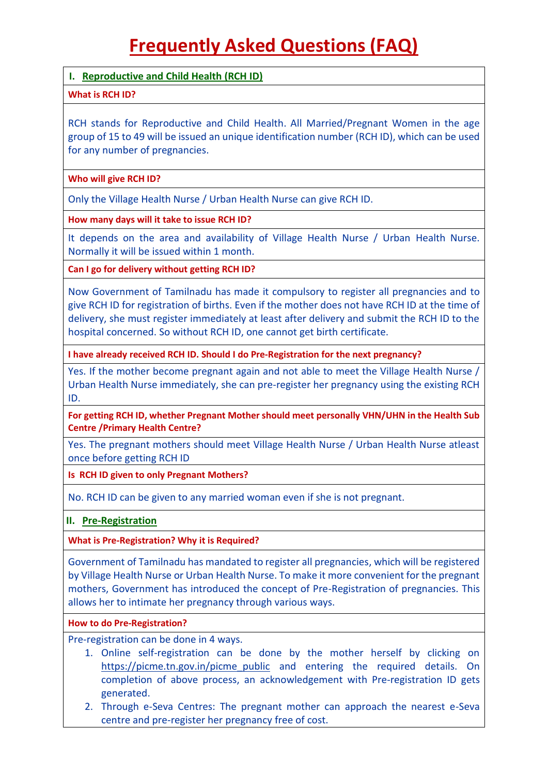# **Frequently Asked Questions (FAQ)**

## **I. Reproductive and Child Health (RCH ID)**

## **What is RCH ID?**

RCH stands for Reproductive and Child Health. All Married/Pregnant Women in the age group of 15 to 49 will be issued an unique identification number (RCH ID), which can be used for any number of pregnancies.

### **Who will give RCH ID?**

Only the Village Health Nurse / Urban Health Nurse can give RCH ID.

## **How many days will it take to issue RCH ID?**

It depends on the area and availability of Village Health Nurse / Urban Health Nurse. Normally it will be issued within 1 month.

**Can I go for delivery without getting RCH ID?**

Now Government of Tamilnadu has made it compulsory to register all pregnancies and to give RCH ID for registration of births. Even if the mother does not have RCH ID at the time of delivery, she must register immediately at least after delivery and submit the RCH ID to the hospital concerned. So without RCH ID, one cannot get birth certificate.

**I have already received RCH ID. Should I do Pre-Registration for the next pregnancy?**

Yes. If the mother become pregnant again and not able to meet the Village Health Nurse / Urban Health Nurse immediately, she can pre-register her pregnancy using the existing RCH ID.

**For getting RCH ID, whether Pregnant Mother should meet personally VHN/UHN in the Health Sub Centre /Primary Health Centre?**

Yes. The pregnant mothers should meet Village Health Nurse / Urban Health Nurse atleast once before getting RCH ID

**Is RCH ID given to only Pregnant Mothers?**

No. RCH ID can be given to any married woman even if she is not pregnant.

## **II. Pre-Registration**

## **What is Pre-Registration? Why it is Required?**

Government of Tamilnadu has mandated to register all pregnancies, which will be registered by Village Health Nurse or Urban Health Nurse. To make it more convenient for the pregnant mothers, Government has introduced the concept of Pre-Registration of pregnancies. This allows her to intimate her pregnancy through various ways.

## **How to do Pre-Registration?**

Pre-registration can be done in 4 ways.

- 1. Online self-registration can be done by the mother herself by clicking on [https://picme.tn.gov.in/picme\\_public](https://picme.tn.gov.in/picme_public) and entering the required details. On completion of above process, an acknowledgement with Pre-registration ID gets generated.
- 2. Through e-Seva Centres: The pregnant mother can approach the nearest e-Seva centre and pre-register her pregnancy free of cost.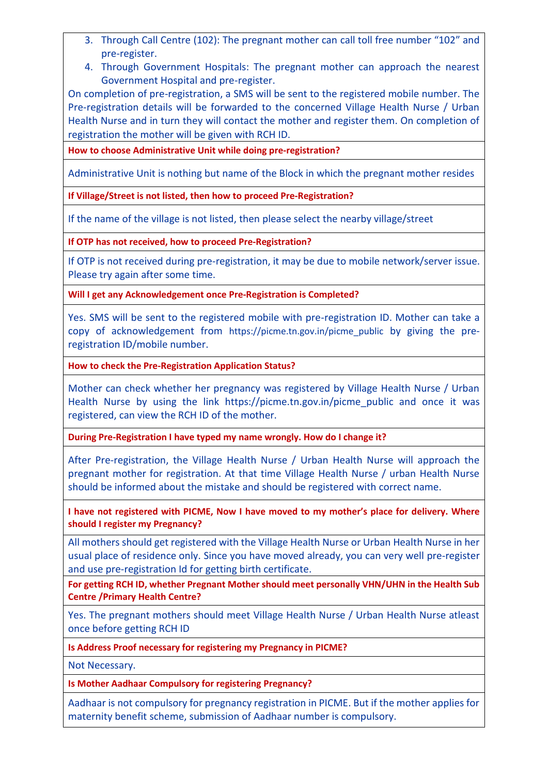- 3. Through Call Centre (102): The pregnant mother can call toll free number "102" and pre-register.
- 4. Through Government Hospitals: The pregnant mother can approach the nearest Government Hospital and pre-register.

On completion of pre-registration, a SMS will be sent to the registered mobile number. The Pre-registration details will be forwarded to the concerned Village Health Nurse / Urban Health Nurse and in turn they will contact the mother and register them. On completion of registration the mother will be given with RCH ID.

**How to choose Administrative Unit while doing pre-registration?**

Administrative Unit is nothing but name of the Block in which the pregnant mother resides

**If Village/Street is not listed, then how to proceed Pre-Registration?**

If the name of the village is not listed, then please select the nearby village/street

**If OTP has not received, how to proceed Pre-Registration?**

If OTP is not received during pre-registration, it may be due to mobile network/server issue. Please try again after some time.

**Will I get any Acknowledgement once Pre-Registration is Completed?**

Yes. SMS will be sent to the registered mobile with pre-registration ID. Mother can take a copy of acknowledgement from [https://picme.tn.gov.in/picme\\_public](https://picme.tn.gov.in/picme_public) by giving the preregistration ID/mobile number.

**How to check the Pre-Registration Application Status?**

Mother can check whether her pregnancy was registered by Village Health Nurse / Urban Health Nurse by using the link https://picme.tn.gov.in/picme public and once it was registered, can view the RCH ID of the mother.

**During Pre-Registration I have typed my name wrongly. How do I change it?**

After Pre-registration, the Village Health Nurse / Urban Health Nurse will approach the pregnant mother for registration. At that time Village Health Nurse / urban Health Nurse should be informed about the mistake and should be registered with correct name.

**I have not registered with PICME, Now I have moved to my mother's place for delivery. Where should I register my Pregnancy?**

All mothers should get registered with the Village Health Nurse or Urban Health Nurse in her usual place of residence only. Since you have moved already, you can very well pre-register and use pre-registration Id for getting birth certificate.

**For getting RCH ID, whether Pregnant Mother should meet personally VHN/UHN in the Health Sub Centre /Primary Health Centre?**

Yes. The pregnant mothers should meet Village Health Nurse / Urban Health Nurse atleast once before getting RCH ID

**Is Address Proof necessary for registering my Pregnancy in PICME?**

Not Necessary.

**Is Mother Aadhaar Compulsory for registering Pregnancy?**

Aadhaar is not compulsory for pregnancy registration in PICME. But if the mother applies for maternity benefit scheme, submission of Aadhaar number is compulsory.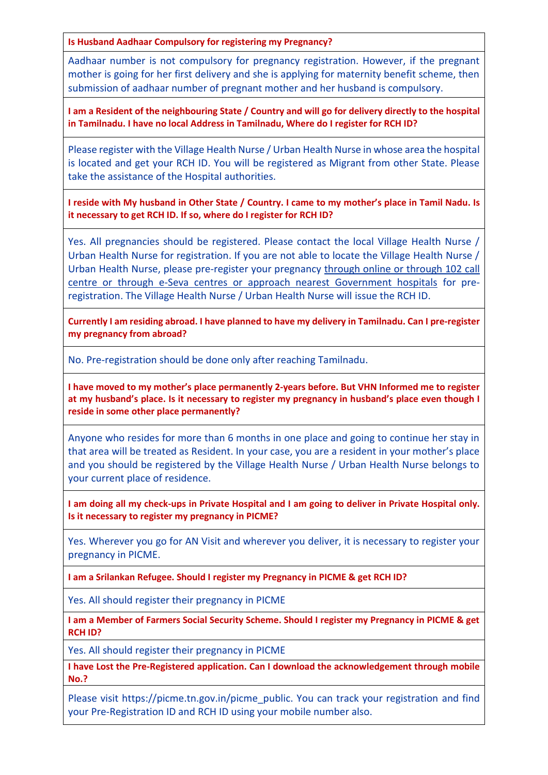**Is Husband Aadhaar Compulsory for registering my Pregnancy?**

Aadhaar number is not compulsory for pregnancy registration. However, if the pregnant mother is going for her first delivery and she is applying for maternity benefit scheme, then submission of aadhaar number of pregnant mother and her husband is compulsory.

**I am a Resident of the neighbouring State / Country and will go for delivery directly to the hospital in Tamilnadu. I have no local Address in Tamilnadu, Where do I register for RCH ID?**

Please register with the Village Health Nurse / Urban Health Nurse in whose area the hospital is located and get your RCH ID. You will be registered as Migrant from other State. Please take the assistance of the Hospital authorities.

**I reside with My husband in Other State / Country. I came to my mother's place in Tamil Nadu. Is it necessary to get RCH ID. If so, where do I register for RCH ID?**

Yes. All pregnancies should be registered. Please contact the local Village Health Nurse / Urban Health Nurse for registration. If you are not able to locate the Village Health Nurse / Urban Health Nurse, please pre-register your pregnancy through online or through 102 call centre or through e-Seva centres or approach nearest Government hospitals for preregistration. The Village Health Nurse / Urban Health Nurse will issue the RCH ID.

**Currently I am residing abroad. I have planned to have my delivery in Tamilnadu. Can I pre-register my pregnancy from abroad?**

No. Pre-registration should be done only after reaching Tamilnadu.

**I have moved to my mother's place permanently 2-years before. But VHN Informed me to register at my husband's place. Is it necessary to register my pregnancy in husband's place even though I reside in some other place permanently?**

Anyone who resides for more than 6 months in one place and going to continue her stay in that area will be treated as Resident. In your case, you are a resident in your mother's place and you should be registered by the Village Health Nurse / Urban Health Nurse belongs to your current place of residence.

**I am doing all my check-ups in Private Hospital and I am going to deliver in Private Hospital only. Is it necessary to register my pregnancy in PICME?**

Yes. Wherever you go for AN Visit and wherever you deliver, it is necessary to register your pregnancy in PICME.

**I am a Srilankan Refugee. Should I register my Pregnancy in PICME & get RCH ID?**

Yes. All should register their pregnancy in PICME

**I am a Member of Farmers Social Security Scheme. Should I register my Pregnancy in PICME & get RCH ID?**

Yes. All should register their pregnancy in PICME

**I have Lost the Pre-Registered application. Can I download the acknowledgement through mobile No.?**

Please visit https://picme.tn.gov.in/picme\_public. You can track your registration and find your Pre-Registration ID and RCH ID using your mobile number also.